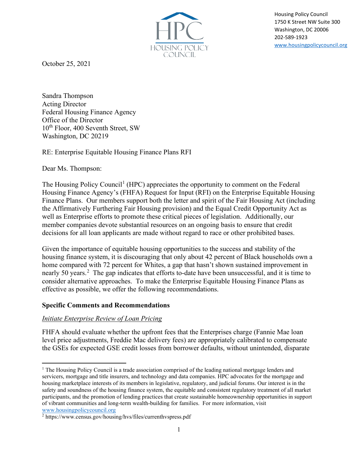

Housing Policy Council 1750 K Street NW Suite 300 Washington, DC 20006 202-589-1923 [www.housingpolicycouncil.org](http://www.housingpolicycouncil.org/)

October 25, 2021

Sandra Thompson Acting Director Federal Housing Finance Agency Office of the Director 10<sup>th</sup> Floor, 400 Seventh Street, SW Washington, DC 20219

RE: Enterprise Equitable Housing Finance Plans RFI

Dear Ms. Thompson:

The Housing Policy Council<sup>[1](#page-0-0)</sup> (HPC) appreciates the opportunity to comment on the Federal Housing Finance Agency's (FHFA) Request for Input (RFI) on the Enterprise Equitable Housing Finance Plans. Our members support both the letter and spirit of the Fair Housing Act (including the Affirmatively Furthering Fair Housing provision) and the Equal Credit Opportunity Act as well as Enterprise efforts to promote these critical pieces of legislation. Additionally, our member companies devote substantial resources on an ongoing basis to ensure that credit decisions for all loan applicants are made without regard to race or other prohibited bases.

Given the importance of equitable housing opportunities to the success and stability of the housing finance system, it is discouraging that only about 42 percent of Black households own a home compared with 72 percent for Whites, a gap that hasn't shown sustained improvement in nearly 50 years.<sup>[2](#page-0-1)</sup> The gap indicates that efforts to-date have been unsuccessful, and it is time to consider alternative approaches. To make the Enterprise Equitable Housing Finance Plans as effective as possible, we offer the following recommendations.

### **Specific Comments and Recommendations**

### *Initiate Enterprise Review of Loan Pricing*

FHFA should evaluate whether the upfront fees that the Enterprises charge (Fannie Mae loan level price adjustments, Freddie Mac delivery fees) are appropriately calibrated to compensate the GSEs for expected GSE credit losses from borrower defaults, without unintended, disparate

<span id="page-0-0"></span><sup>&</sup>lt;sup>1</sup> The Housing Policy Council is a trade association comprised of the leading national mortgage lenders and servicers, mortgage and title insurers, and technology and data companies. HPC advocates for the mortgage and housing marketplace interests of its members in legislative, regulatory, and judicial forums. Our interest is in the safety and soundness of the housing finance system, the equitable and consistent regulatory treatment of all market participants, and the promotion of lending practices that create sustainable homeownership opportunities in support of vibrant communities and long-term wealth-building for families. For more information, visit [www.housingpolicycouncil.org](http://www.housingpolicycouncil.org/)

<span id="page-0-1"></span><sup>2</sup> https://www.census.gov/housing/hvs/files/currenthvspress.pdf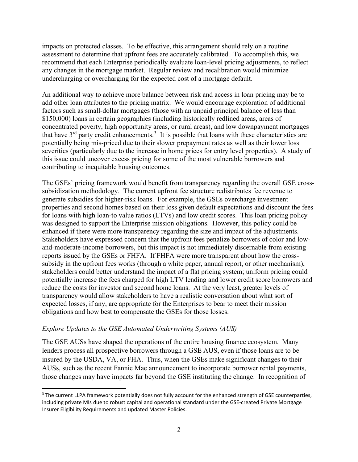impacts on protected classes. To be effective, this arrangement should rely on a routine assessment to determine that upfront fees are accurately calibrated. To accomplish this, we recommend that each Enterprise periodically evaluate loan-level pricing adjustments, to reflect any changes in the mortgage market. Regular review and recalibration would minimize undercharging or overcharging for the expected cost of a mortgage default.

An additional way to achieve more balance between risk and access in loan pricing may be to add other loan attributes to the pricing matrix. We would encourage exploration of additional factors such as small-dollar mortgages (those with an unpaid principal balance of less than \$150,000) loans in certain geographies (including historically redlined areas, areas of concentrated poverty, high opportunity areas, or rural areas), and low downpayment mortgages that have  $3<sup>rd</sup>$  $3<sup>rd</sup>$  party credit enhancements.<sup>3</sup> It is possible that loans with these characteristics are potentially being mis-priced due to their slower prepayment rates as well as their lower loss severities (particularly due to the increase in home prices for entry level properties). A study of this issue could uncover excess pricing for some of the most vulnerable borrowers and contributing to inequitable housing outcomes.

The GSEs' pricing framework would benefit from transparency regarding the overall GSE crosssubsidization methodology. The current upfront fee structure redistributes fee revenue to generate subsidies for higher-risk loans. For example, the GSEs overcharge investment properties and second homes based on their loss given default expectations and discount the fees for loans with high loan-to value ratios (LTVs) and low credit scores. This loan pricing policy was designed to support the Enterprise mission obligations. However, this policy could be enhanced if there were more transparency regarding the size and impact of the adjustments. Stakeholders have expressed concern that the upfront fees penalize borrowers of color and lowand-moderate-income borrowers, but this impact is not immediately discernable from existing reports issued by the GSEs or FHFA. If FHFA were more transparent about how the crosssubsidy in the upfront fees works (through a white paper, annual report, or other mechanism), stakeholders could better understand the impact of a flat pricing system; uniform pricing could potentially increase the fees charged for high LTV lending and lower credit score borrowers and reduce the costs for investor and second home loans. At the very least, greater levels of transparency would allow stakeholders to have a realistic conversation about what sort of expected losses, if any, are appropriate for the Enterprises to bear to meet their mission obligations and how best to compensate the GSEs for those losses.

### *Explore Updates to the GSE Automated Underwriting Systems (AUS)*

The GSE AUSs have shaped the operations of the entire housing finance ecosystem. Many lenders process all prospective borrowers through a GSE AUS, even if those loans are to be insured by the USDA, VA, or FHA. Thus, when the GSEs make significant changes to their AUSs, such as the recent Fannie Mae announcement to incorporate borrower rental payments, those changes may have impacts far beyond the GSE instituting the change. In recognition of

<span id="page-1-0"></span><sup>&</sup>lt;sup>3</sup> The current LLPA framework potentially does not fully account for the enhanced strength of GSE counterparties, including private MIs due to robust capital and operational standard under the GSE-created Private Mortgage Insurer Eligibility Requirements and updated Master Policies.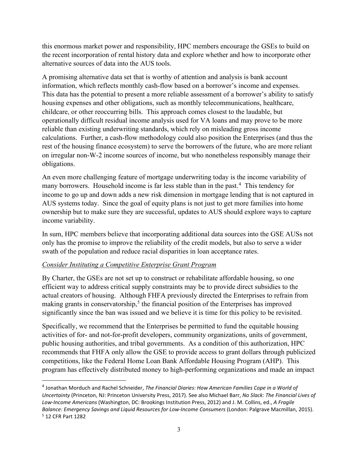this enormous market power and responsibility, HPC members encourage the GSEs to build on the recent incorporation of rental history data and explore whether and how to incorporate other alternative sources of data into the AUS tools.

A promising alternative data set that is worthy of attention and analysis is bank account information, which reflects monthly cash-flow based on a borrower's income and expenses. This data has the potential to present a more reliable assessment of a borrower's ability to satisfy housing expenses and other obligations, such as monthly telecommunications, healthcare, childcare, or other reoccurring bills. This approach comes closest to the laudable, but operationally difficult residual income analysis used for VA loans and may prove to be more reliable than existing underwriting standards, which rely on misleading gross income calculations. Further, a cash-flow methodology could also position the Enterprises (and thus the rest of the housing finance ecosystem) to serve the borrowers of the future, who are more reliant on irregular non-W-2 income sources of income, but who nonetheless responsibly manage their obligations.

An even more challenging feature of mortgage underwriting today is the income variability of many borrowers. Household income is far less stable than in the past.<sup>[4](#page-2-0)</sup> This tendency for income to go up and down adds a new risk dimension in mortgage lending that is not captured in AUS systems today. Since the goal of equity plans is not just to get more families into home ownership but to make sure they are successful, updates to AUS should explore ways to capture income variability.

In sum, HPC members believe that incorporating additional data sources into the GSE AUSs not only has the promise to improve the reliability of the credit models, but also to serve a wider swath of the population and reduce racial disparities in loan acceptance rates.

### *Consider Instituting a Competitive Enterprise Grant Program*

By Charter, the GSEs are not set up to construct or rehabilitate affordable housing, so one efficient way to address critical supply constraints may be to provide direct subsidies to the actual creators of housing. Although FHFA previously directed the Enterprises to refrain from making grants in conservatorship,<sup>[5](#page-2-1)</sup> the financial position of the Enterprises has improved significantly since the ban was issued and we believe it is time for this policy to be revisited.

Specifically, we recommend that the Enterprises be permitted to fund the equitable housing activities of for- and not-for-profit developers, community organizations, units of government, public housing authorities, and tribal governments. As a condition of this authorization, HPC recommends that FHFA only allow the GSE to provide access to grant dollars through publicized competitions, like the Federal Home Loan Bank Affordable Housing Program (AHP). This program has effectively distributed money to high-performing organizations and made an impact

<span id="page-2-1"></span><span id="page-2-0"></span><sup>4</sup> Jonathan Morduch and Rachel Schneider, *The Financial Diaries: How American Families Cope in a World of Uncertainty* (Princeton, NJ: Princeton University Press, 2017). See also Michael Barr, *No Slack: The Financial Lives of Low-Income Americans* (Washington, DC: Brookings Institution Press, 2012) and J. M. Collins, ed., *A Fragile Balance: Emergency Savings and Liquid Resources for Low-Income Consumers* (London: Palgrave Macmillan, 2015). <sup>5</sup> 12 CFR Part 1282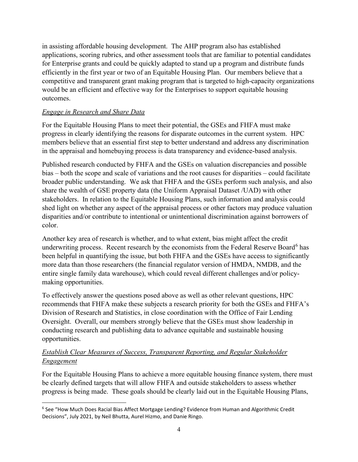in assisting affordable housing development. The AHP program also has established applications, scoring rubrics, and other assessment tools that are familiar to potential candidates for Enterprise grants and could be quickly adapted to stand up a program and distribute funds efficiently in the first year or two of an Equitable Housing Plan. Our members believe that a competitive and transparent grant making program that is targeted to high-capacity organizations would be an efficient and effective way for the Enterprises to support equitable housing outcomes.

## *Engage in Research and Share Data*

For the Equitable Housing Plans to meet their potential, the GSEs and FHFA must make progress in clearly identifying the reasons for disparate outcomes in the current system. HPC members believe that an essential first step to better understand and address any discrimination in the appraisal and homebuying process is data transparency and evidence-based analysis.

Published research conducted by FHFA and the GSEs on valuation discrepancies and possible bias – both the scope and scale of variations and the root causes for disparities – could facilitate broader public understanding. We ask that FHFA and the GSEs perform such analysis, and also share the wealth of GSE property data (the Uniform Appraisal Dataset /UAD) with other stakeholders. In relation to the Equitable Housing Plans, such information and analysis could shed light on whether any aspect of the appraisal process or other factors may produce valuation disparities and/or contribute to intentional or unintentional discrimination against borrowers of color.

Another key area of research is whether, and to what extent, bias might affect the credit underwriting process. Recent research by the economists from the Federal Reserve Board<sup>[6](#page-3-0)</sup> has been helpful in quantifying the issue, but both FHFA and the GSEs have access to significantly more data than those researchers (the financial regulator version of HMDA, NMDB, and the entire single family data warehouse), which could reveal different challenges and/or policymaking opportunities.

To effectively answer the questions posed above as well as other relevant questions, HPC recommends that FHFA make these subjects a research priority for both the GSEs and FHFA's Division of Research and Statistics, in close coordination with the Office of Fair Lending Oversight. Overall, our members strongly believe that the GSEs must show leadership in conducting research and publishing data to advance equitable and sustainable housing opportunities.

# *Establish Clear Measures of Success, Transparent Reporting, and Regular Stakeholder Engagement*

For the Equitable Housing Plans to achieve a more equitable housing finance system, there must be clearly defined targets that will allow FHFA and outside stakeholders to assess whether progress is being made. These goals should be clearly laid out in the Equitable Housing Plans,

<span id="page-3-0"></span><sup>6</sup> See "How Much Does Racial Bias Affect Mortgage Lending? Evidence from Human and Algorithmic Credit Decisions", July 2021, by Neil Bhutta, Aurel Hizmo, and Danie Ringo.